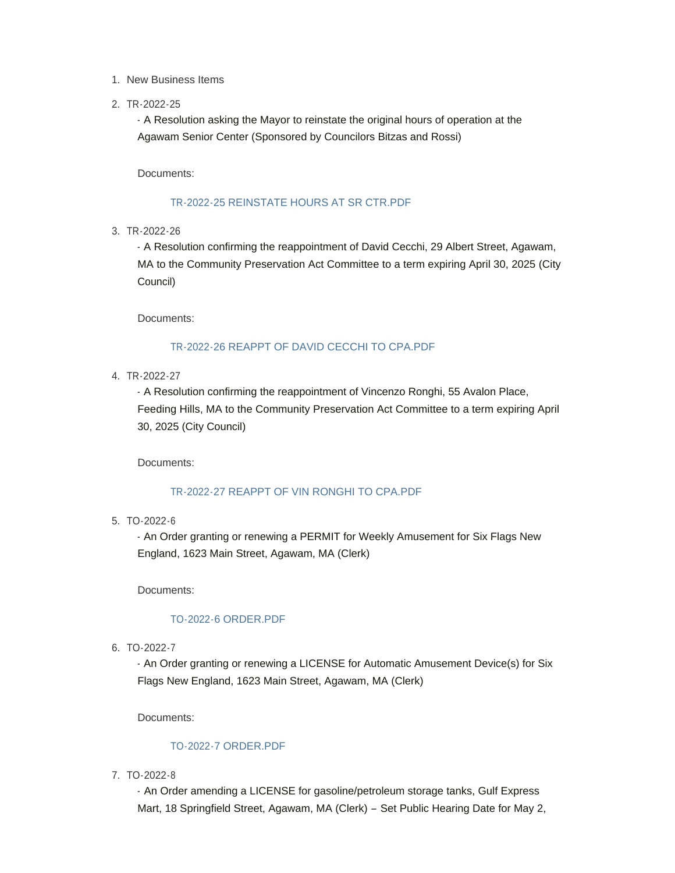- 1. New Business Items
- 2. TR-2022-25

- A Resolution asking the Mayor to reinstate the original hours of operation at the Agawam Senior Center (Sponsored by Councilors Bitzas and Rossi)

Documents:

### [TR-2022-25 REINSTATE HOURS AT SR CTR.PDF](https://www.agawam.ma.us/AgendaCenter/ViewFile/Item/221?fileID=429)

3. TR-2022-26

- A Resolution confirming the reappointment of David Cecchi, 29 Albert Street, Agawam, MA to the Community Preservation Act Committee to a term expiring April 30, 2025 (City Council)

Documents:

### [TR-2022-26 REAPPT OF DAVID CECCHI TO CPA.PDF](https://www.agawam.ma.us/AgendaCenter/ViewFile/Item/222?fileID=430)

4. TR-2022-27

- A Resolution confirming the reappointment of Vincenzo Ronghi, 55 Avalon Place, Feeding Hills, MA to the Community Preservation Act Committee to a term expiring April 30, 2025 (City Council)

Documents:

### [TR-2022-27 REAPPT OF VIN RONGHI TO CPA.PDF](https://www.agawam.ma.us/AgendaCenter/ViewFile/Item/224?fileID=431)

TO-2022-6 5.

- An Order granting or renewing a PERMIT for Weekly Amusement for Six Flags New England, 1623 Main Street, Agawam, MA (Clerk)

Documents:

# [TO-2022-6 ORDER.PDF](https://www.agawam.ma.us/AgendaCenter/ViewFile/Item/225?fileID=432)

TO-2022-7 6.

- An Order granting or renewing a LICENSE for Automatic Amusement Device(s) for Six Flags New England, 1623 Main Street, Agawam, MA (Clerk)

Documents:

### [TO-2022-7 ORDER.PDF](https://www.agawam.ma.us/AgendaCenter/ViewFile/Item/226?fileID=433)

TO-2022-8 7.

- An Order amending a LICENSE for gasoline/petroleum storage tanks, Gulf Express Mart, 18 Springfield Street, Agawam, MA (Clerk) – Set Public Hearing Date for May 2,